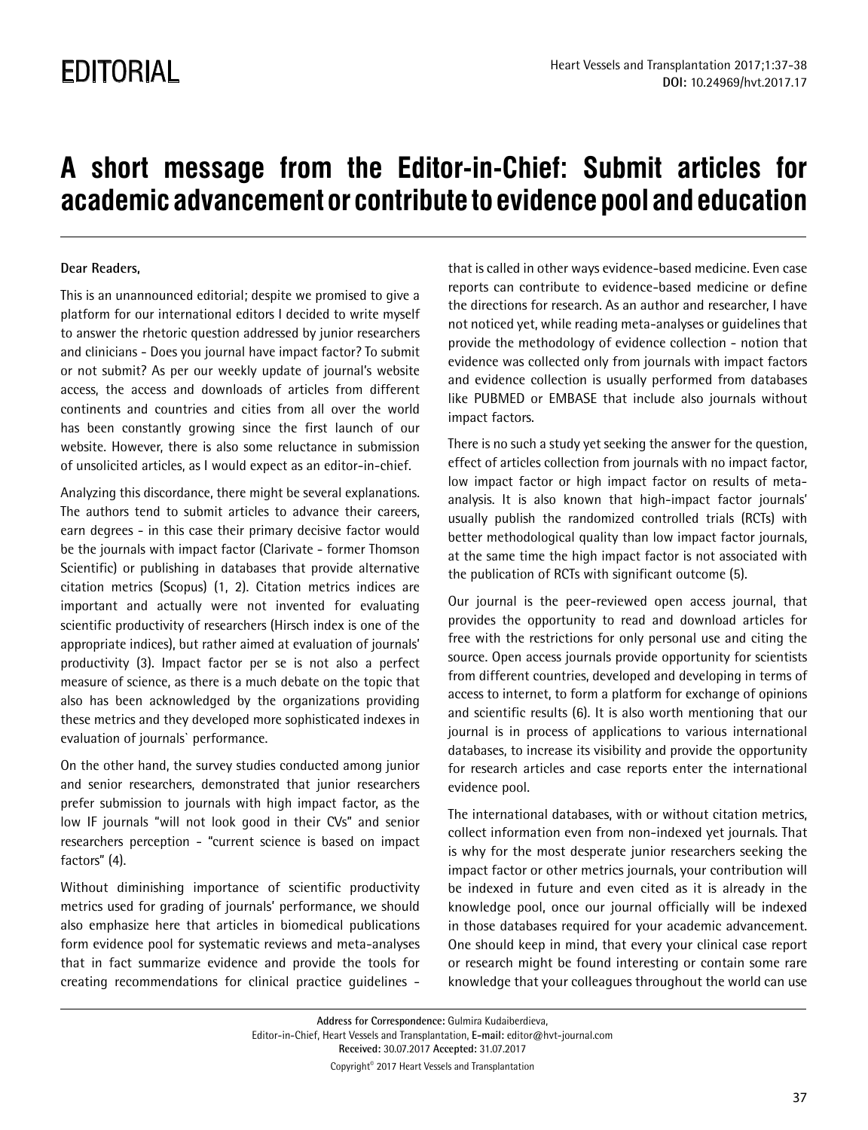## **A short message from the Editor-in-Chief: Submit articles for academic advancement or contribute to evidence pool and education**

## **Dear Readers,**

This is an unannounced editorial; despite we promised to give a platform for our international editors I decided to write myself to answer the rhetoric question addressed by junior researchers and clinicians - Does you journal have impact factor? To submit or not submit? As per our weekly update of journal's website access, the access and downloads of articles from different continents and countries and cities from all over the world has been constantly growing since the first launch of our website. However, there is also some reluctance in submission of unsolicited articles, as I would expect as an editor-in-chief.

Analyzing this discordance, there might be several explanations. The authors tend to submit articles to advance their careers, earn degrees - in this case their primary decisive factor would be the journals with impact factor (Clarivate - former Thomson Scientific) or publishing in databases that provide alternative citation metrics (Scopus) (1, 2). Citation metrics indices are important and actually were not invented for evaluating scientific productivity of researchers (Hirsch index is one of the appropriate indices), but rather aimed at evaluation of journals' productivity (3). Impact factor per se is not also a perfect measure of science, as there is a much debate on the topic that also has been acknowledged by the organizations providing these metrics and they developed more sophisticated indexes in evaluation of journals` performance.

On the other hand, the survey studies conducted among junior and senior researchers, demonstrated that junior researchers prefer submission to journals with high impact factor, as the low IF journals "will not look good in their CVs" and senior researchers perception - "current science is based on impact factors" (4).

Without diminishing importance of scientific productivity metrics used for grading of journals' performance, we should also emphasize here that articles in biomedical publications form evidence pool for systematic reviews and meta-analyses that in fact summarize evidence and provide the tools for creating recommendations for clinical practice guidelines -

that is called in other ways evidence-based medicine. Even case reports can contribute to evidence-based medicine or define the directions for research. As an author and researcher, I have not noticed yet, while reading meta-analyses or guidelines that provide the methodology of evidence collection - notion that evidence was collected only from journals with impact factors and evidence collection is usually performed from databases like PUBMED or EMBASE that include also journals without impact factors.

There is no such a study yet seeking the answer for the question, effect of articles collection from journals with no impact factor, low impact factor or high impact factor on results of metaanalysis. It is also known that high-impact factor journals' usually publish the randomized controlled trials (RCTs) with better methodological quality than low impact factor journals, at the same time the high impact factor is not associated with the publication of RCTs with significant outcome (5).

Our journal is the peer-reviewed open access journal, that provides the opportunity to read and download articles for free with the restrictions for only personal use and citing the source. Open access journals provide opportunity for scientists from different countries, developed and developing in terms of access to internet, to form a platform for exchange of opinions and scientific results (6). It is also worth mentioning that our journal is in process of applications to various international databases, to increase its visibility and provide the opportunity for research articles and case reports enter the international evidence pool.

The international databases, with or without citation metrics, collect information even from non-indexed yet journals. That is why for the most desperate junior researchers seeking the impact factor or other metrics journals, your contribution will be indexed in future and even cited as it is already in the knowledge pool, once our journal officially will be indexed in those databases required for your academic advancement. One should keep in mind, that every your clinical case report or research might be found interesting or contain some rare knowledge that your colleagues throughout the world can use